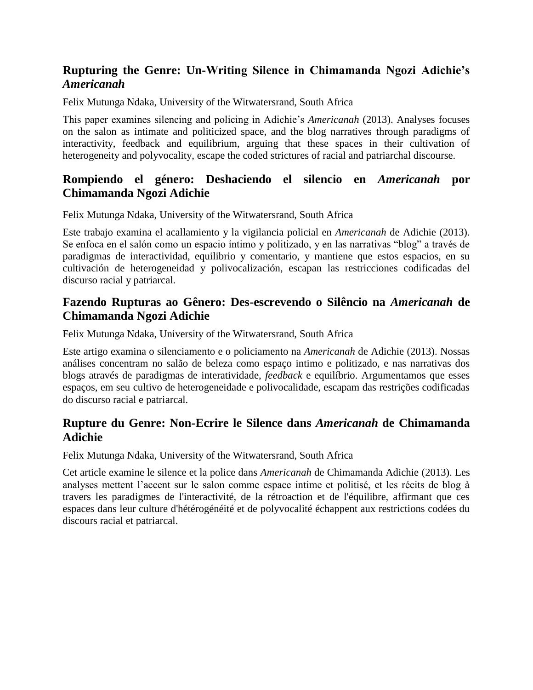## **Rupturing the Genre: Un-Writing Silence in Chimamanda Ngozi Adichie's**  *Americanah*

Felix Mutunga Ndaka, University of the Witwatersrand, South Africa

This paper examines silencing and policing in Adichie's *Americanah* (2013). Analyses focuses on the salon as intimate and politicized space, and the blog narratives through paradigms of interactivity, feedback and equilibrium, arguing that these spaces in their cultivation of heterogeneity and polyvocality, escape the coded strictures of racial and patriarchal discourse.

### **Rompiendo el género: Deshaciendo el silencio en** *Americanah* **por Chimamanda Ngozi Adichie**

Felix Mutunga Ndaka, University of the Witwatersrand, South Africa

Este trabajo examina el acallamiento y la vigilancia policial en *Americanah* de Adichie (2013). Se enfoca en el salón como un espacio íntimo y politizado, y en las narrativas "blog" a través de paradigmas de interactividad, equilibrio y comentario, y mantiene que estos espacios, en su cultivación de heterogeneidad y polivocalización, escapan las restricciones codificadas del discurso racial y patriarcal.

#### **Fazendo Rupturas ao Gênero: Des-escrevendo o Silêncio na** *Americanah* **de Chimamanda Ngozi Adichie**

Felix Mutunga Ndaka, University of the Witwatersrand, South Africa

Este artigo examina o silenciamento e o policiamento na *Americanah* de Adichie (2013). Nossas análises concentram no salão de beleza como espaço intimo e politizado, e nas narrativas dos blogs através de paradigmas de interatividade, *feedback* e equilíbrio. Argumentamos que esses espaços, em seu cultivo de heterogeneidade e polivocalidade, escapam das restrições codificadas do discurso racial e patriarcal.

#### **Rupture du Genre: Non-Ecrire le Silence dans** *Americanah* **de Chimamanda Adichie**

Felix Mutunga Ndaka, University of the Witwatersrand, South Africa

Cet article examine le silence et la police dans *Americanah* de Chimamanda Adichie (2013). Les analyses mettent l'accent sur le salon comme espace intime et politisé, et les récits de blog à travers les paradigmes de l'interactivité, de la rétroaction et de l'équilibre, affirmant que ces espaces dans leur culture d'hétérogénéité et de polyvocalité échappent aux restrictions codées du discours racial et patriarcal.